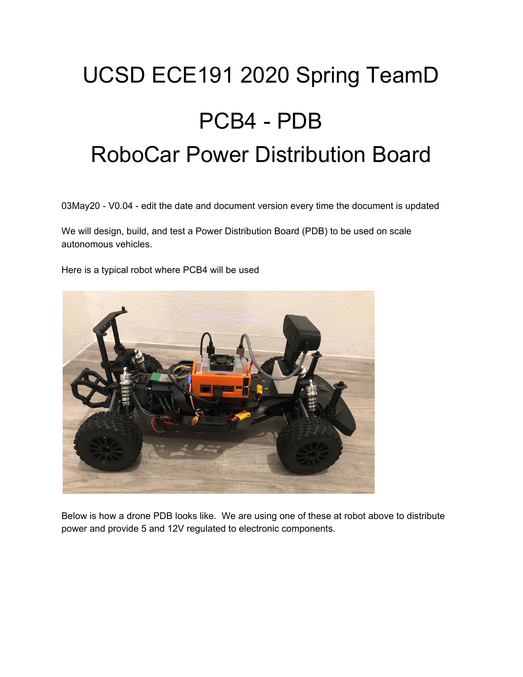# UCSD ECE191 2020 Spring TeamD PCB4 - PDB RoboCar Power Distribution Board

03May20 - V0.04 - edit the date and document version every time the document is updated

We will design, build, and test a Power Distribution Board (PDB) to be used on scale autonomous vehicles.

Here is a typical robot where PCB4 will be used



Below is how a drone PDB looks like. We are using one of these at robot above to distribute power and provide 5 and 12V regulated to electronic components.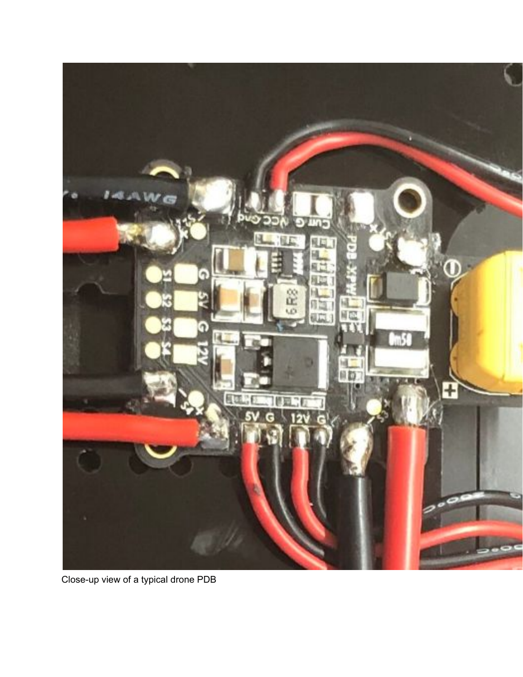

Close-up view of a typical drone PDB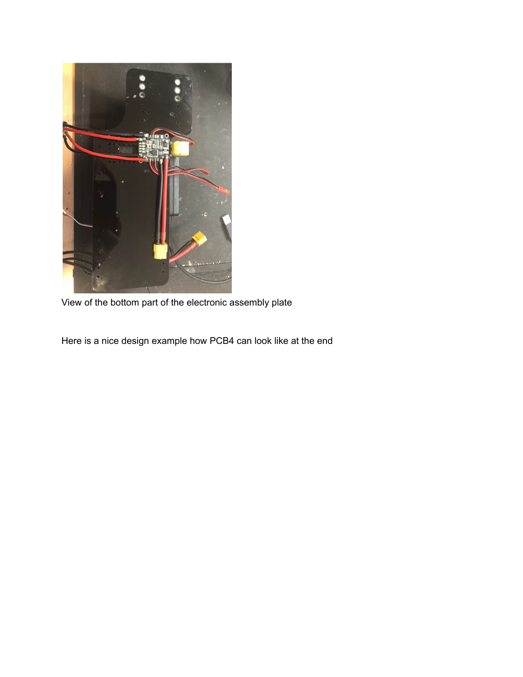

View of the bottom part of the electronic assembly plate

Here is a nice design example how PCB4 can look like at the end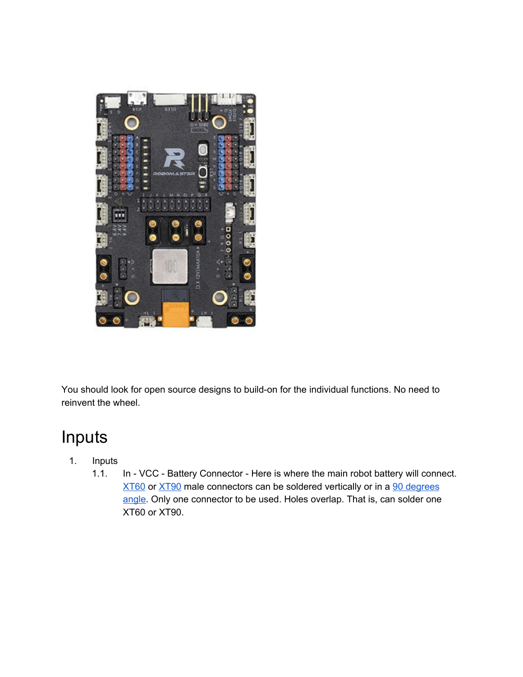

You should look for open source designs to build-on for the individual functions. No need to reinvent the wheel.

## Inputs

- 1. Inputs
	- 1.1. In VCC Battery Connector Here is where the main robot battery will connect. [XT60](https://www.youtube.com/watch?v=qEdysiZAYZ4) or [XT90](https://www.youtube.com/watch?v=nVWn5u3WRsQ) male connectors can be soldered vertically or in a 90 [degrees](https://www.google.com/search?q=xt60+90+degree&rlz=1C5CHFA_enUS734US734&sxsrf=ALeKk00oVRhu63iIknnaSMdZ1YZNmIRAKA:1585721928248&tbm=isch&source=iu&ictx=1&fir=ayeCjKvU-Am7dM%253A%252CcTqJwbq_BXNGNM%252C_&vet=1&usg=AI4_-kT331OSErV8ZcmCoqQJk2XBAKyoOQ&sa=X&ved=2ahUKEwjtl_vBysboAhWQvp4KHTRJAsYQ9QEwAHoECAoQEQ#imgrc=ayeCjKvU-Am7dM) [angle.](https://www.google.com/search?q=xt60+90+degree&rlz=1C5CHFA_enUS734US734&sxsrf=ALeKk00oVRhu63iIknnaSMdZ1YZNmIRAKA:1585721928248&tbm=isch&source=iu&ictx=1&fir=ayeCjKvU-Am7dM%253A%252CcTqJwbq_BXNGNM%252C_&vet=1&usg=AI4_-kT331OSErV8ZcmCoqQJk2XBAKyoOQ&sa=X&ved=2ahUKEwjtl_vBysboAhWQvp4KHTRJAsYQ9QEwAHoECAoQEQ#imgrc=ayeCjKvU-Am7dM) Only one connector to be used. Holes overlap. That is, can solder one XT60 or XT90.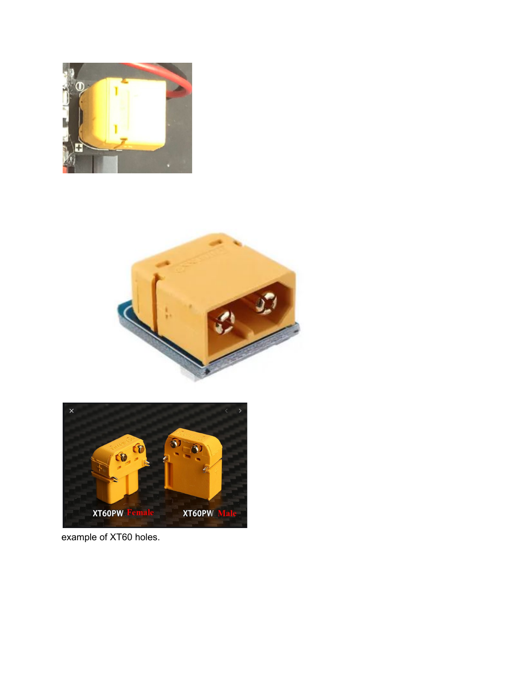





example of XT60 holes.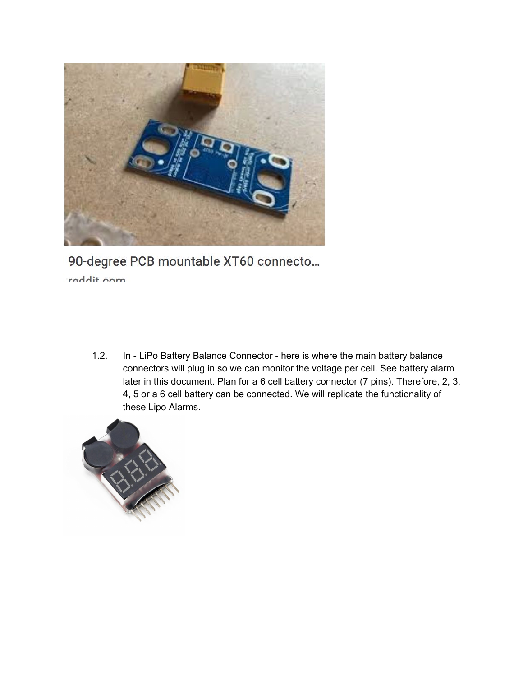

90-degree PCB mountable XT60 connecto... reddit com

1.2. In - LiPo Battery Balance Connector - here is where the main battery balance connectors will plug in so we can monitor the voltage per cell. See battery alarm later in this document. Plan for a 6 cell battery connector (7 pins). Therefore, 2, 3, 4, 5 or a 6 cell battery can be connected. We will replicate the functionality of these Lipo Alarms.

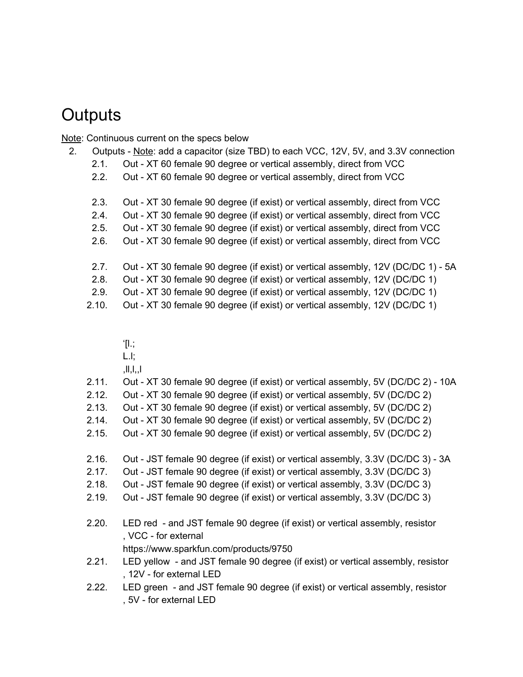### **Outputs**

Note: Continuous current on the specs below

- 2. Outputs Note: add a capacitor (size TBD) to each VCC, 12V, 5V, and 3.3V connection
	- 2.1. Out XT 60 female 90 degree or vertical assembly, direct from VCC
	- 2.2. Out XT 60 female 90 degree or vertical assembly, direct from VCC
	- 2.3. Out XT 30 female 90 degree (if exist) or vertical assembly, direct from VCC
	- 2.4. Out XT 30 female 90 degree (if exist) or vertical assembly, direct from VCC
	- 2.5. Out XT 30 female 90 degree (if exist) or vertical assembly, direct from VCC
	- 2.6. Out XT 30 female 90 degree (if exist) or vertical assembly, direct from VCC
	- 2.7. Out XT 30 female 90 degree (if exist) or vertical assembly, 12V (DC/DC 1) 5A
	- 2.8. Out XT 30 female 90 degree (if exist) or vertical assembly, 12V (DC/DC 1)
	- 2.9. Out XT 30 female 90 degree (if exist) or vertical assembly, 12V (DC/DC 1)
	- 2.10. Out XT 30 female 90 degree (if exist) or vertical assembly, 12V (DC/DC 1)
		- '[l.;
		- L.l;
		- $|l, l, l|$
	- 2.11. Out XT 30 female 90 degree (if exist) or vertical assembly, 5V (DC/DC 2) 10A
	- 2.12. Out XT 30 female 90 degree (if exist) or vertical assembly, 5V (DC/DC 2)
	- 2.13. Out XT 30 female 90 degree (if exist) or vertical assembly, 5V (DC/DC 2)
	- 2.14. Out XT 30 female 90 degree (if exist) or vertical assembly, 5V (DC/DC 2)
	- 2.15. Out XT 30 female 90 degree (if exist) or vertical assembly, 5V (DC/DC 2)
	- 2.16. Out JST female 90 degree (if exist) or vertical assembly, 3.3V (DC/DC 3) 3A
	- 2.17. Out JST female 90 degree (if exist) or vertical assembly, 3.3V (DC/DC 3)
	- 2.18. Out JST female 90 degree (if exist) or vertical assembly, 3.3V (DC/DC 3)
	- 2.19. Out JST female 90 degree (if exist) or vertical assembly, 3.3V (DC/DC 3)
	- 2.20. LED red and JST female 90 degree (if exist) or vertical assembly, resistor , VCC - for external
		- https://www.sparkfun.com/products/9750
	- 2.21. LED yellow and JST female 90 degree (if exist) or vertical assembly, resistor , 12V - for external LED
	- 2.22. LED green and JST female 90 degree (if exist) or vertical assembly, resistor , 5V - for external LED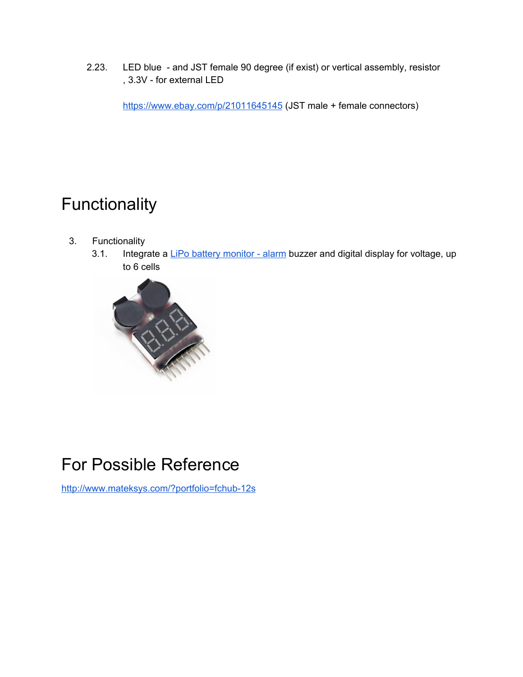2.23. LED blue - and JST female 90 degree (if exist) or vertical assembly, resistor , 3.3V - for external LED

<https://www.ebay.com/p/21011645145> (JST male + female connectors)

## Functionality

- 3. Functionality
	- 3.1. Integrate a LiPo battery [monitor](https://www.youtube.com/watch?v=A0EjDtGSepw) alarm buzzer and digital display for voltage, up to 6 cells



### For Possible Reference

<http://www.mateksys.com/?portfolio=fchub-12s>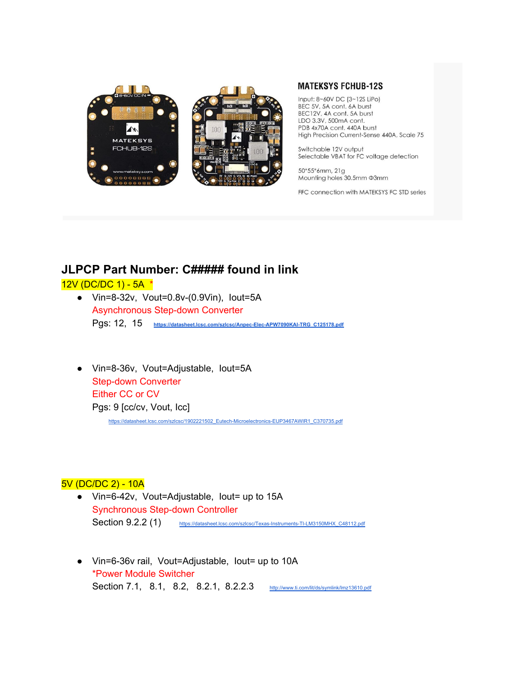



#### **MATEKSYS FCHUB-12S**

Input: 8~60V DC (3~12S LiPo) BEC 5V, 5A cont. 6A burst BEC12V, 4A cont. 5A burst LDO 3.3V, 500mA cont. PDB 4x70A cont. 440A burst High Precision Current-Sense 440A, Scale 75

Switchable 12V output Selectable VBAT for FC voltage detection

50\*55\*6mm, 21g Mounting holes 30.5mm @3mm

FFC connection with MATEKSYS FC STD series

### **JLPCP Part Number: C##### found in link**

#### 12V (DC/DC 1) - 5A \*

- Vin=8-32v, Vout=0.8v-(0.9Vin), Iout=5A Asynchronous Step-down Converter Pgs: 12, 15 **[https://datasheet.lcsc.com/szlcsc/Anpec-Elec-APW7090KAI-TRG\\_C125178.pdf](https://datasheet.lcsc.com/szlcsc/Anpec-Elec-APW7090KAI-TRG_C125178.pdf)**
- Vin=8-36v, Vout=Adjustable, Iout=5A Step-down Converter Either CC or CV Pgs: 9 [cc/cv, Vout, Icc] [https://datasheet.lcsc.com/szlcsc/1902221502\\_Eutech-Microelectronics-EUP3467AWIR1\\_C370735.pdf](https://datasheet.lcsc.com/szlcsc/1902221502_Eutech-Microelectronics-EUP3467AWIR1_C370735.pdf)

#### 5V (DC/DC 2) - 10A

- Vin=6-42v, Vout=Adjustable, Iout= up to 15A Synchronous Step-down Controller Section 9.2.2 (1) [https://datasheet.lcsc.com/szlcsc/Texas-Instruments-TI-LM3150MHX\\_C48112.pdf](https://datasheet.lcsc.com/szlcsc/Texas-Instruments-TI-LM3150MHX_C48112.pdf)
- Vin=6-36v rail, Vout=Adjustable, Iout= up to 10A \*Power Module Switcher Section 7.1, 8.1, 8.2, 8.2.1, 8.2.2.3 <http://www.ti.com/lit/ds/symlink/lmz13610.pdf>